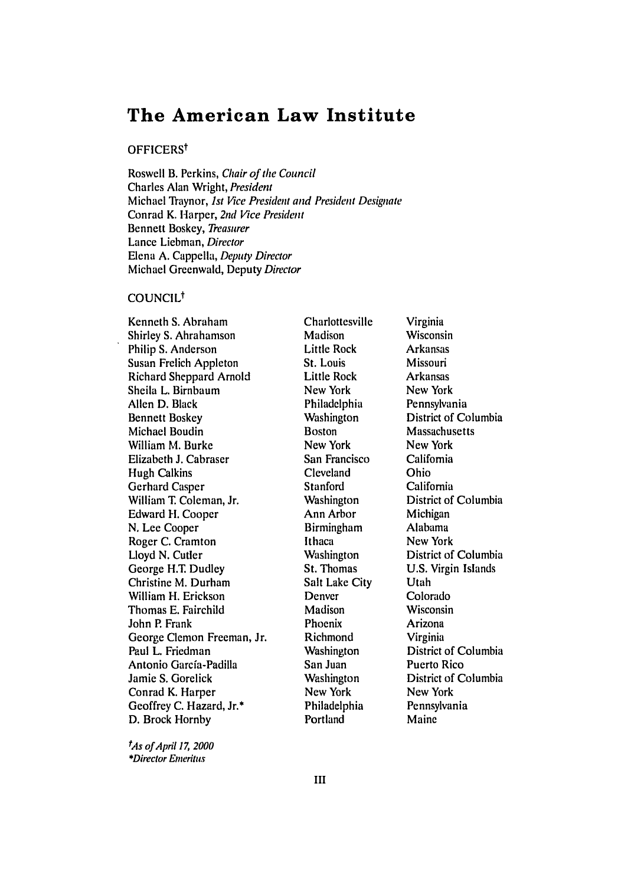# **The American Law Institute**

### OFFICERS<sup>t</sup>

Roswell B. Perkins, *Chair of the* Council Charles Alan Wright, President Michael Raynor, *1st Vice* President and President Designate Conrad K. Harper, 2nd *Vice* President Bennett Boskey, *Treasurer* Lance Liebman, Director Elena A. Cappella, Deputy Director Michael Greenwald, Deputy Director

#### COUNCIL<sup>†</sup>

Kenneth **S.** Abraham Shirley **S.** Abrahamson Philip **S.** Anderson Susan Frelich Appleton Richard Sheppard Arnold Sheila L. Birnbaum Allen D. Black Bennett Boskey Michael Boudin William M. Burke Elizabeth **J.** Cabraser Hugh Calkins Gerhard Casper William T. Coleman, Jr. Edward **11.** Cooper N. Lee Cooper Roger C. Cramton Lloyd N. Cutler George H.T. Dudley Christine M. Durham William H. Erickson Thomas E. Fairchild John P. Frank George Clemon Freeman, Jr. Paul L. Friedman Antonio Garcfa-Padilla Jamie S. Gorelick Conrad K. Harper Geoffrey C. Hazard, Jr.\* D. Brock Hornby

t As of *April* **17,** 2000 \*Director Emeritus

Charlottesville Madison Little Rock St. Louis Little Rock New York Philadelphia **Washington** Boston New York San Francisco Cleveland Stanford Washington Ann Arbor Birmingham Ithaca **Washington** St. Thomas Salt Lake City Denver Madison Phoenix Richmond **Washington** San Juan Washington New York Philadelphia **Portland** 

Virginia Wisconsin Arkansas Missouri Arkansas New York Pennsylvania District of Columbia Massachusetts New York California Ohio California District of Columbia Michigan Alabama New York District of Columbia U.S. Virgin Islands Utah Colorado Wisconsin Arizona Virginia District of Columbia Puerto Rico District of Columbia New York Pennsylvania Maine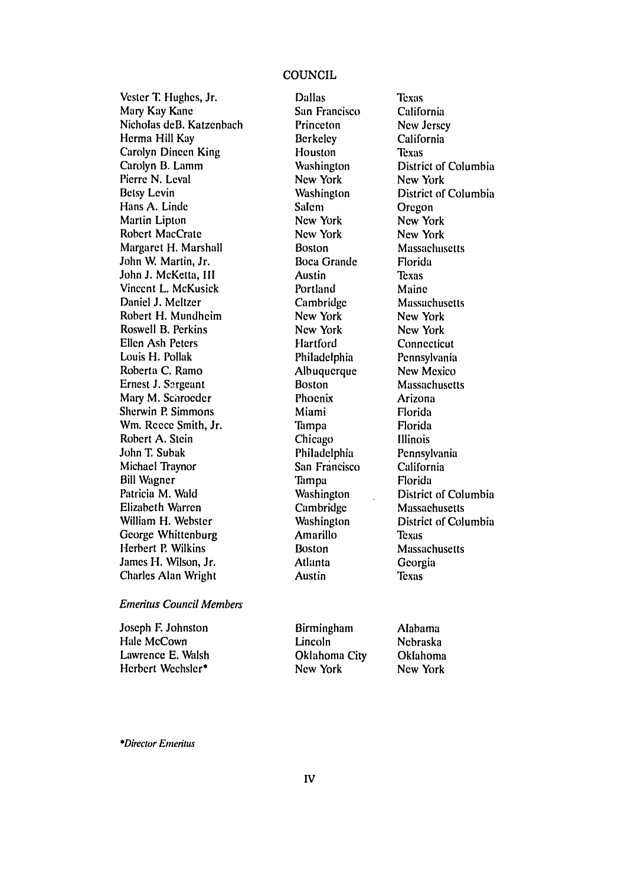## **COUNCIL**

Vester T. Hughes, Jr. Mary Kay Kane Nicholas deB. Katzenbach Herma Hill Kay Carolyn Dineen King Carolyn B. Lamm Pierre N. Leval Betsy Levin Hans A. Linde Martin Lipton Robert MacCrate Margaret H. Marshall John W. Martin, Jr. John J. McKetta, III Vincent L. McKusick Daniel J. Meltzer Robert H. Mundheim Roswell B. Perkins Ellen Ash Peters Louis H. Pollak Roberta C. Ramo Ernest J. Sargeant Mary M. Schroeder Sherwin P. Simmons Wm. Reece Smith, Jr. Robert A. Stein John T. Subak Michael Traynor Bill Wagner Patricia M. Wald Elizabeth Warren William H. Webster George Whittenburg Herbert P. Wilkins James H. Wilson, Jr. Charles Alan Wright

#### Emeritus *Council Members*

Joseph F. Johnston Hale McCown Lawrence E. Walsh Herbert Wechsler\*

Dallas San Francisco Princeton Berkeley Houston Washington New York **Washington** Salem New York New York Boston Boca Grande Austin Portland Cambridge New York New York Hartford Philadelphia Albuquerque Boston Phoenix Miami Tampa Chicago Philadelphia San Francisco Tampa Washington Cambridge Washington Amarillo Boston Atlanta Austin

Texas California New Jersey California Texas District of Columbia New York District of Columbia Oregon New York New York Massachusetts Florida Texas Maine Massachusetts New York New York Connecticut Pennsylvania New Mexico **Massachusetts** Arizona Florida Florida Illinois Pennsylvania California Florida District of Columbia **Massachusetts** District of Columbia Texas Massachusetts Georgia **Texas** 

Birmingham Lincoln Oklahoma City New York

Alabama Nebraska Oklahoma New York

*\*Director Emeritus*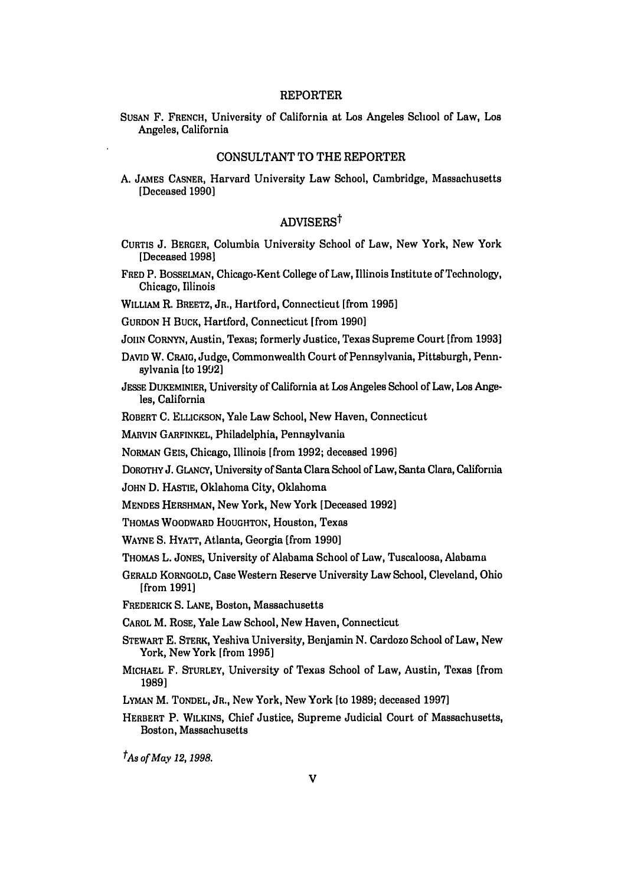#### REPORTER

**SUSAN** F. FRENCH, University of California at Los Angeles School of Law, Los Angeles, California

#### CONSULTANT TO THE REPORTER

A. **JAMES** CASNER, Harvard University Law School, Cambridge, Massachusetts [Deceased **1990]**

# ADVISERSt

- CURTIS J. BERGER, Columbia University School of Law, New York, New York [Deceased 1998]
- FRED P. BOSSELmAN, Chicago-Kent College of Law, Illinois Institute of Technology, Chicago, Illinois
- WILLIAM R. BREETZ, JR., Hartford, Connecticut [from **1995]**

GURDON H BUCK, Hartford, Connecticut [from **19901**

- JOHN CORNYN, Austin, Texas; formerly Justice, Texas Supreme Court [from **1993]**
- DAVID W. CRAIG, Judge, Commonwealth Court of Pennsylvania, Pittsburgh, Pennsylvania **[to 1992]**
- JESSE DUKEMINIER, University of California at Los Angeles School of Law, Los Angeles, California
- ROBERT C. ELLICKSON, Yale Law School, New Haven, Connecticut

MARVIN GARFINKEL, Philadelphia, Pennsylvania

- NORMAN **GELS,** Chicago, Illinois [from **1992;** deceased **1996]**
- DOROTHY J. GLANCY, University of Santa Clara School of Law, Santa Clara, California
- JOHN D. HASTIE, Oklahoma City, Oklahoma
- MENDES HERSHMAN, New York, New York [Deceased **1992]**
- THOMAS WOODWARD HOUGHTON, Houston, Texas
- WAYNE S. HYATT, Atlanta, Georgia [from **1990]**
- THOMAS L. JONES, University of Alabama School of Law, Tuscaloosa, Alabama
- GERALD KORNGOLD, Case Western Reserve University Law School, Cleveland, Ohio [from 1991]
- FREDERICK S. LANE, Boston, Massachusetts

CAROL M. ROSE, Yale Law School, New Haven, Connecticut

- STEWART E. STERK, Yeshiva University, Benjamin N. Cardozo School of Law, New York, New York [from **1995]**
- MICHAEL F. STURLEY, University of Texas School of Law, Austin, Texas [from **1989]**
- **LYMAN** M. TONDEL, JR., New York, New York [to **1989;** deceased **1997]**

*tAs of May 12, 1998.*

HERBERT P. WILKINS, Chief Justice, Supreme Judicial Court of Massachusetts, Boston, Massachusetts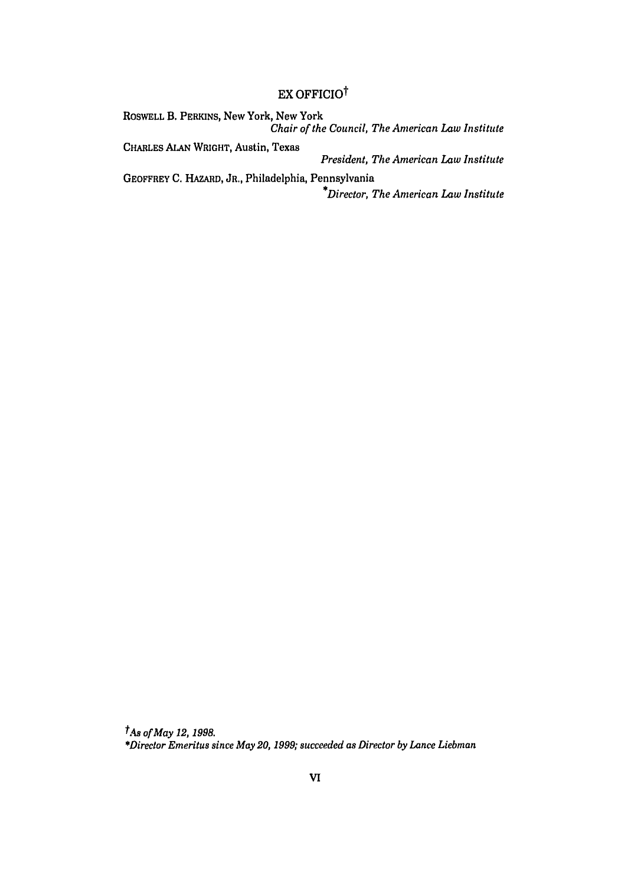# EX OFFICIO<sup>†</sup>

ROSWELL B. PERKINS, New York, New York *Chair of the Council, The American Law Institute* CHARLES ALAN WRIGHT, Austin, Texas *President, The American Law Institute* GEOFFREY **C.** HAZARD, JR., Philadelphia, Pennsylvania *\*Director, The American Law Institute*

*tMs of May 12, 1998. \*Director Emeritus since May 20, 1999; succeeded as Director by Lance Liebman*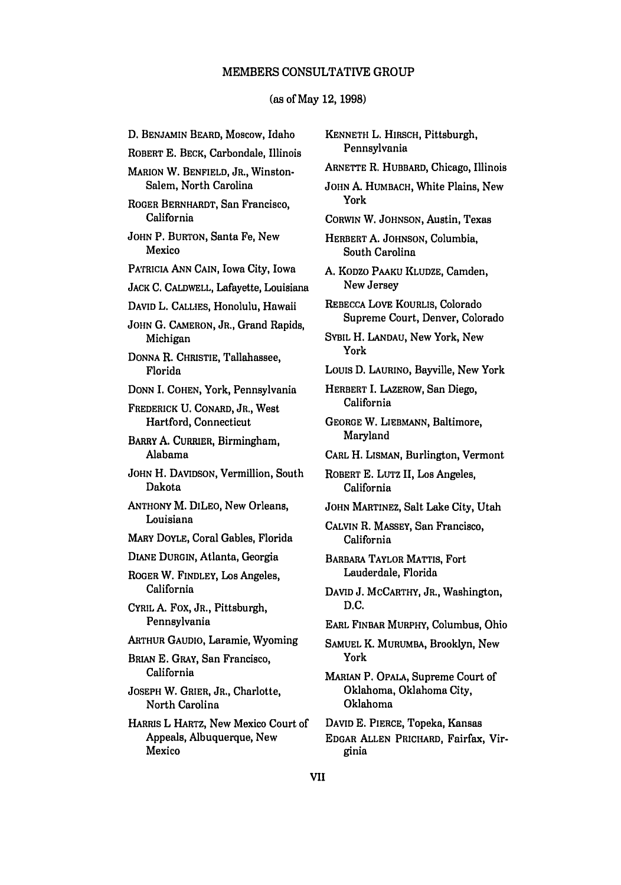#### MEMBERS CONSULTATIVE GROUP

# (as of May 12, 1998)

**D.** BENJAMIN BEARD, Moscow, Idaho ROBERT E. BECK, Carbondale, Illinois MARION W. BENFIELD, JR., Winston-Salem, North Carolina ROGER BERNHARDT, San Francisco, California JOHN P. BURTON, Santa Fe, New Mexico PATfRICIA **ANN** CAIN, Iowa City, Iowa **JACK** C. CALDWELL, Lafayette, Louisiana DAVID L. CALLIES, Honolulu, Hawaii JOHN G. CAMERON, JR., Grand Rapids, Michigan DONNA R. CHRISTIE, Tallahassee, Florida DONN I. COHEN, York, Pennsylvania FREDERICK **U.** CONARD, JR., West Hartford, Connecticut BARRY A. CURRIER, Birmingham, Alabama JOHN H. DAVIDSON, Vermillion, South Dakota ANTHONY M. DILEo, New Orleans, Louisiana MARY DOYLE, Coral Gables, Florida DIANE DURGIN, Atlanta, Georgia ROGER W. FINDLEY, Los Angeles, California CYRIL **A.** Fox, JR., Pittsburgh, Pennsylvania ARTHUR GAUDIO, Laramie, Wyoming BRIAN E. GRAY, San Francisco, California JOSEPH W. GRIER, JR., Charlotte, North Carolina HARRIS L HARTZ, New Mexico Court of Appeals, Albuquerque, New Mexico

KENNETH L. HIRSCH, Pittsburgh, Pennsylvania ARNETTE R. HUBBARD, Chicago, Illinois JOHN A. HUMBACH, White Plains, New York CORWIN W. JOHNSON, Austin, Texas HERBERT **A.** JOHNSON, Columbia, South Carolina A. KODZO PAAKU KLUDZE, Camden, New Jersey REBECCA LOVE KOURLIS, Colorado Supreme Court, Denver, Colorado SYBIL H. LANDAU, New York, New York Louis D. LAURINO, Bayville, New York HERBERT I. LAZEROW, San Diego, California GEORGE W. LIEBMANN, Baltimore, Maryland CARL H. LISMAN, Burlington, Vermont ROBERT E. LUTZ II, Los Angeles, California JOHN MARTINEZ, Salt Lake City, Utah CALVIN R. MASSEY, San Francisco, California BARBARA TAYLOR MATTIS, Fort Lauderdale, Florida DAVID J. MCCARTHY, JR., Washington, D.C. EARL FINBAR MURPHY, Columbus, Ohio SAMUEL K. MURUMBA, Brooklyn, New York MARIAN P. OPALA, Supreme Court of Oklahoma, Oklahoma City, Oklahoma DAVID E. PIERCE, Topeka, Kansas EDGAR ALLEN PRICHARD, Fairfax, Virginia